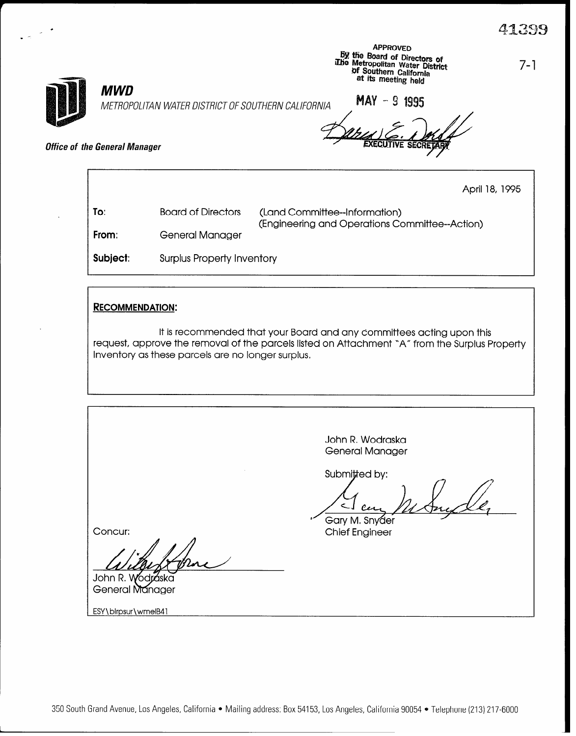|  | <b>MWD</b>                                  | METROPOLITAN WATER DISTRICT OF SOUTHERN CALIFORNIA | <b>APPROVED</b><br>by the Board of Directors of<br>The Metropolitan Water District<br>of Southern California<br>at its meeting held<br>MAY - 9 1995 | 7-1            |  |
|--|---------------------------------------------|----------------------------------------------------|-----------------------------------------------------------------------------------------------------------------------------------------------------|----------------|--|
|  | <i><b>Office of the General Manager</b></i> |                                                    | <b>EXECUTIVE SECRETARY</b>                                                                                                                          |                |  |
|  |                                             |                                                    |                                                                                                                                                     | April 18, 1995 |  |
|  | To:                                         | <b>Board of Directors</b>                          | (Land Committee--Information)                                                                                                                       |                |  |
|  | From:                                       | General Manager                                    | (Engineering and Operations Committee--Action)                                                                                                      |                |  |
|  | Subject:                                    | <b>Surplus Property Inventory</b>                  |                                                                                                                                                     |                |  |

## RECOMMENDATION:

 $\cdot$  -

It is recommended that your Board and any committees acting upon this request, approve the removal of the parcels listed on Attachment "A" from the Surplus Property Inventory as these parcels are no longer surplus,

John R. Wodraska General Manager Submitted by: ce Gary M. Snyder s Concur: Chief Engineer John R. Wodraska<br>General Manager

ESY\blrpsur\wmelB41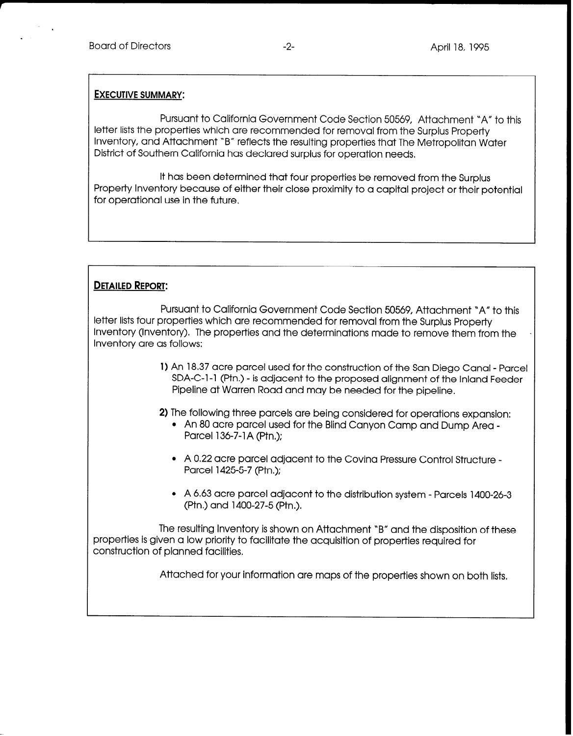## EXECUTIVE SUMMARY:

Pursuant to California Government Code Section 50569, Attachment "A" to this letter lists the properties which are recommended for removal from the Surplus Property Inventory, and Attachment 'B" reflects the resulting properties that The Metropolitan Water District of Southern California has declared surplus for operation needs.

It has been determined that four properties be removed from the Surplus Property Inventory because of either their close proximity to a capital project or their potential for operational use in the future,

## DETAILED REPORT:

Pursuant to California Government Code Section 50569, Attachment 'A" to this letter lists four properties which are recommended for removal from the Surplus Property Inventory (Inventory). The properties and the determinations made to remove them from the Inventory are as follows:

> 1) An 18,37 acre parcel used for the construction of the San Diego Canal - Parcel SDA-C-1-1 (Ptn.) - is adjacent to the proposed alignment of the Inland Feeder Pipeline at Warren Road and may be needed for the pipeline.

2) The following three parcels are being considered for operations expansion:

- An 80 acre parcel used for the Blind Canyon Camp and Dump Area -Parcel 136-7-1A (Ptn.);
- A 0.22 acre parcel adjacent to the Covina Pressure Control Structure -Parcel 1425-5-7 (Ptn,);
- A 6.63 acre parcel adjacent to the distribution system Parcels 1400-26-3 (Ptn) and 1400-27-5 (Ptn.).

The resulting Inventory is shown on Attachment 'B" and the disposition of these properties is given a low priority to facilitate the acquisition of properties required for construction of planned facilities.

Attached for your information are maps of the properties shown on both lists,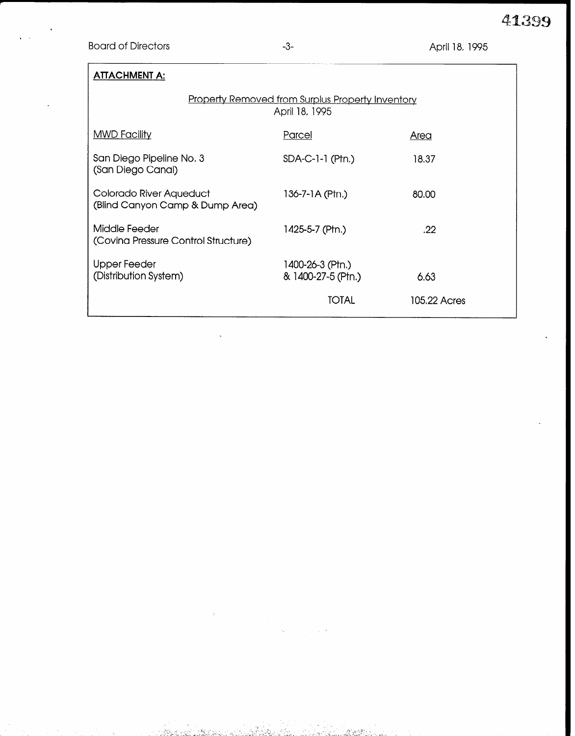Board of Directors **-3-** April 18, 1995

| <b>ATTACHMENT A:</b>                                                      |                                        |              |  |  |  |  |
|---------------------------------------------------------------------------|----------------------------------------|--------------|--|--|--|--|
| <b>Property Removed from Surplus Property Inventory</b><br>April 18, 1995 |                                        |              |  |  |  |  |
| <b>MWD Facility</b>                                                       | Parcel                                 | <u>Area</u>  |  |  |  |  |
| San Diego Pipeline No. 3<br>(San Diego Canal)                             | $SDA-C-1-1$ (Ptn.)                     | 18,37        |  |  |  |  |
| Colorado River Aqueduct<br>(Blind Canyon Camp & Dump Area)                | 136-7-1A (Ptn.)                        | 80,00        |  |  |  |  |
| Middle Feeder<br>(Covina Pressure Control Structure)                      | 1425-5-7 (Ptn.)                        | .22          |  |  |  |  |
| Upper Feeder<br>(Distribution System)                                     | 1400-26-3 (Ptn.)<br>& 1400-27-5 (Ptn.) | 6.63         |  |  |  |  |
|                                                                           | TOTAL                                  | 105.22 Acres |  |  |  |  |

astria Recita

.<br>Mataurika

SALER SET L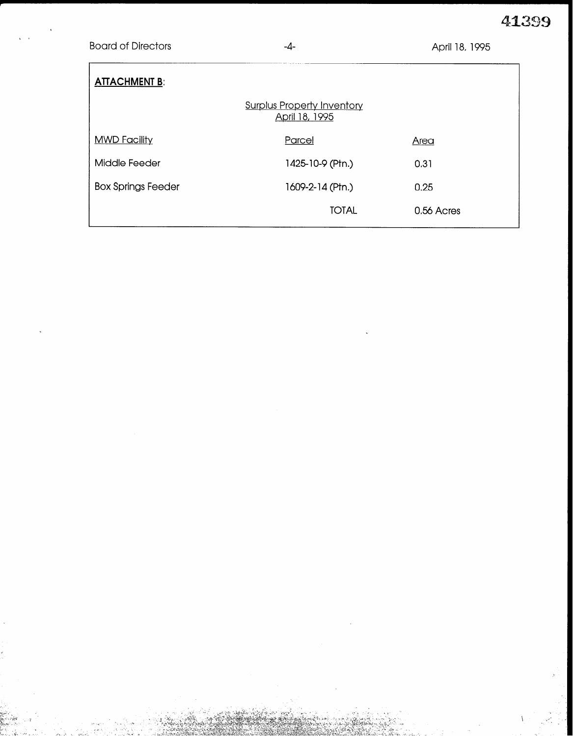41399

## **Board of Directors**

 $-4-$ 

| <b>ATTACHMENT B:</b>                                |                  |            |  |  |  |  |  |
|-----------------------------------------------------|------------------|------------|--|--|--|--|--|
| <b>Surplus Property Inventory</b><br>April 18, 1995 |                  |            |  |  |  |  |  |
| <b>MWD Facility</b>                                 | Parcel           | Area       |  |  |  |  |  |
| Middle Feeder                                       | 1425-10-9 (Ptn.) | 0.31       |  |  |  |  |  |
| <b>Box Springs Feeder</b>                           | 1609-2-14 (Ptn.) | 0.25       |  |  |  |  |  |
|                                                     | <b>TOTAL</b>     | 0.56 Acres |  |  |  |  |  |